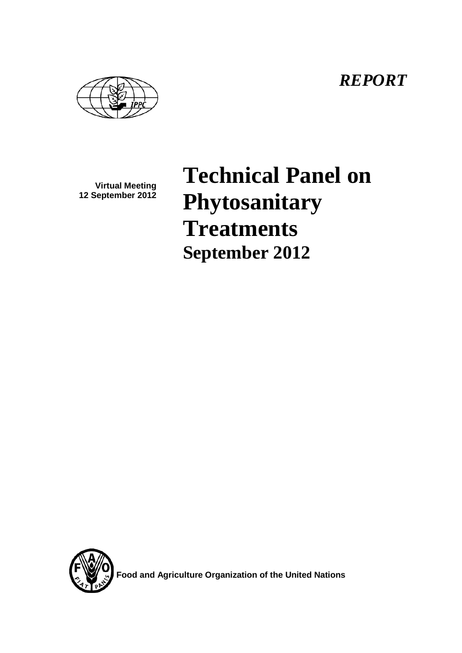*REPORT*

**Virtual Meeting 12 September 2012**

**Technical Panel on Phytosanitary Treatments September 2012**



**Food and Agriculture Organization of the United Nations**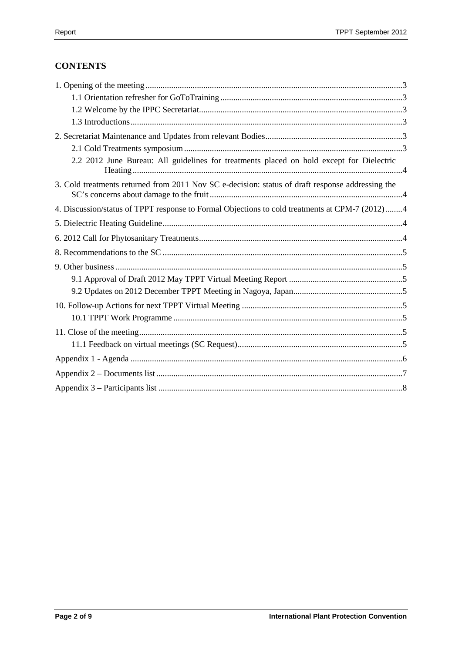# **CONTENTS**

| 2.2 2012 June Bureau: All guidelines for treatments placed on hold except for Dielectric         |  |
|--------------------------------------------------------------------------------------------------|--|
| 3. Cold treatments returned from 2011 Nov SC e-decision: status of draft response addressing the |  |
| 4. Discussion/status of TPPT response to Formal Objections to cold treatments at CPM-7 (2012)4   |  |
|                                                                                                  |  |
|                                                                                                  |  |
|                                                                                                  |  |
|                                                                                                  |  |
|                                                                                                  |  |
|                                                                                                  |  |
|                                                                                                  |  |
|                                                                                                  |  |
|                                                                                                  |  |
|                                                                                                  |  |
|                                                                                                  |  |
|                                                                                                  |  |
|                                                                                                  |  |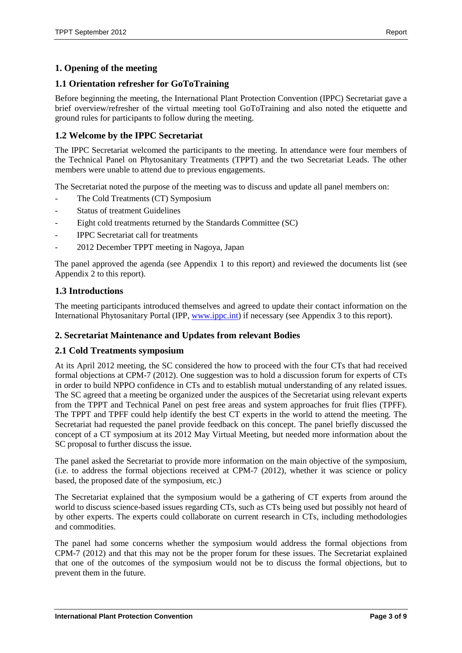## <span id="page-2-0"></span>**1. Opening of the meeting**

## <span id="page-2-1"></span>**1.1 Orientation refresher for GoToTraining**

Before beginning the meeting, the International Plant Protection Convention (IPPC) Secretariat gave a brief overview/refresher of the virtual meeting tool GoToTraining and also noted the etiquette and ground rules for participants to follow during the meeting.

## <span id="page-2-2"></span>**1.2 Welcome by the IPPC Secretariat**

The IPPC Secretariat welcomed the participants to the meeting. In attendance were four members of the Technical Panel on Phytosanitary Treatments (TPPT) and the two Secretariat Leads. The other members were unable to attend due to previous engagements.

The Secretariat noted the purpose of the meeting was to discuss and update all panel members on:

- The Cold Treatments (CT) Symposium
- Status of treatment Guidelines
- Eight cold treatments returned by the Standards Committee (SC)
- IPPC Secretariat call for treatments
- 2012 December TPPT meeting in Nagoya, Japan

The panel approved the agenda (see Appendix 1 to this report) and reviewed the documents list (see Appendix 2 to this report).

### <span id="page-2-3"></span>**1.3 Introductions**

The meeting participants introduced themselves and agreed to update their contact information on the International Phytosanitary Portal (IPP, [www.ippc.int\)](http://www.ippc.int/) if necessary (see Appendix 3 to this report).

### <span id="page-2-4"></span>**2. Secretariat Maintenance and Updates from relevant Bodies**

#### <span id="page-2-5"></span>**2.1 Cold Treatments symposium**

At its April 2012 meeting, the SC considered the how to proceed with the four CTs that had received formal objections at CPM-7 (2012). One suggestion was to hold a discussion forum for experts of CTs in order to build NPPO confidence in CTs and to establish mutual understanding of any related issues. The SC agreed that a meeting be organized under the auspices of the Secretariat using relevant experts from the TPPT and Technical Panel on pest free areas and system approaches for fruit flies (TPFF). The TPPT and TPFF could help identify the best CT experts in the world to attend the meeting. The Secretariat had requested the panel provide feedback on this concept. The panel briefly discussed the concept of a CT symposium at its 2012 May Virtual Meeting, but needed more information about the SC proposal to further discuss the issue.

The panel asked the Secretariat to provide more information on the main objective of the symposium, (i.e. to address the formal objections received at CPM-7 (2012), whether it was science or policy based, the proposed date of the symposium, etc.)

The Secretariat explained that the symposium would be a gathering of CT experts from around the world to discuss science-based issues regarding CTs, such as CTs being used but possibly not heard of by other experts. The experts could collaborate on current research in CTs, including methodologies and commodities.

The panel had some concerns whether the symposium would address the formal objections from CPM-7 (2012) and that this may not be the proper forum for these issues. The Secretariat explained that one of the outcomes of the symposium would not be to discuss the formal objections, but to prevent them in the future.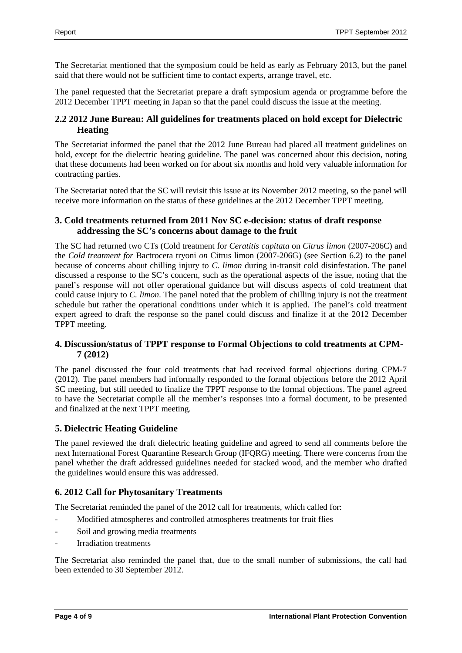The Secretariat mentioned that the symposium could be held as early as February 2013, but the panel said that there would not be sufficient time to contact experts, arrange travel, etc.

The panel requested that the Secretariat prepare a draft symposium agenda or programme before the 2012 December TPPT meeting in Japan so that the panel could discuss the issue at the meeting.

## <span id="page-3-0"></span>**2.2 2012 June Bureau: All guidelines for treatments placed on hold except for Dielectric Heating**

The Secretariat informed the panel that the 2012 June Bureau had placed all treatment guidelines on hold, except for the dielectric heating guideline. The panel was concerned about this decision, noting that these documents had been worked on for about six months and hold very valuable information for contracting parties.

The Secretariat noted that the SC will revisit this issue at its November 2012 meeting, so the panel will receive more information on the status of these guidelines at the 2012 December TPPT meeting.

## <span id="page-3-1"></span>**3. Cold treatments returned from 2011 Nov SC e-decision: status of draft response addressing the SC's concerns about damage to the fruit**

The SC had returned two CTs (Cold treatment for *Ceratitis capitata* on *Citrus limon* (2007-206C) and the *Cold treatment for* Bactrocera tryoni *on* Citrus limon (2007-206G) (see Section 6.2) to the panel because of concerns about chilling injury to *C. limon* during in-transit cold disinfestation. The panel discussed a response to the SC's concern, such as the operational aspects of the issue, noting that the panel's response will not offer operational guidance but will discuss aspects of cold treatment that could cause injury to *C. limon*. The panel noted that the problem of chilling injury is not the treatment schedule but rather the operational conditions under which it is applied. The panel's cold treatment expert agreed to draft the response so the panel could discuss and finalize it at the 2012 December TPPT meeting.

### <span id="page-3-2"></span>**4. Discussion/status of TPPT response to Formal Objections to cold treatments at CPM-7 (2012)**

The panel discussed the four cold treatments that had received formal objections during CPM-7 (2012). The panel members had informally responded to the formal objections before the 2012 April SC meeting, but still needed to finalize the TPPT response to the formal objections. The panel agreed to have the Secretariat compile all the member's responses into a formal document, to be presented and finalized at the next TPPT meeting.

## <span id="page-3-3"></span>**5. Dielectric Heating Guideline**

The panel reviewed the draft dielectric heating guideline and agreed to send all comments before the next International Forest Quarantine Research Group (IFQRG) meeting. There were concerns from the panel whether the draft addressed guidelines needed for stacked wood, and the member who drafted the guidelines would ensure this was addressed.

## <span id="page-3-4"></span>**6. 2012 Call for Phytosanitary Treatments**

The Secretariat reminded the panel of the 2012 call for treatments, which called for:

- Modified atmospheres and controlled atmospheres treatments for fruit flies
- Soil and growing media treatments
- **Irradiation treatments**

The Secretariat also reminded the panel that, due to the small number of submissions, the call had been extended to 30 September 2012.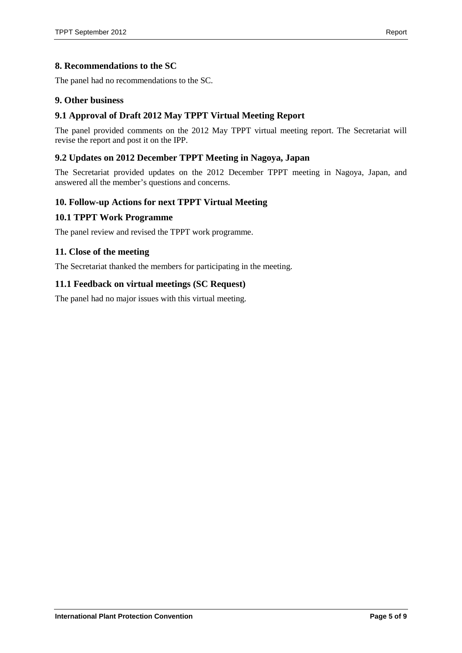### <span id="page-4-0"></span>**8. Recommendations to the SC**

The panel had no recommendations to the SC.

#### <span id="page-4-1"></span>**9. Other business**

#### <span id="page-4-2"></span>**9.1 Approval of Draft 2012 May TPPT Virtual Meeting Report**

The panel provided comments on the 2012 May TPPT virtual meeting report. The Secretariat will revise the report and post it on the IPP.

#### <span id="page-4-3"></span>**9.2 Updates on 2012 December TPPT Meeting in Nagoya, Japan**

The Secretariat provided updates on the 2012 December TPPT meeting in Nagoya, Japan, and answered all the member's questions and concerns.

#### <span id="page-4-4"></span>**10. Follow-up Actions for next TPPT Virtual Meeting**

#### <span id="page-4-5"></span>**10.1 TPPT Work Programme**

The panel review and revised the TPPT work programme.

#### <span id="page-4-6"></span>**11. Close of the meeting**

The Secretariat thanked the members for participating in the meeting.

#### <span id="page-4-7"></span>**11.1 Feedback on virtual meetings (SC Request)**

The panel had no major issues with this virtual meeting.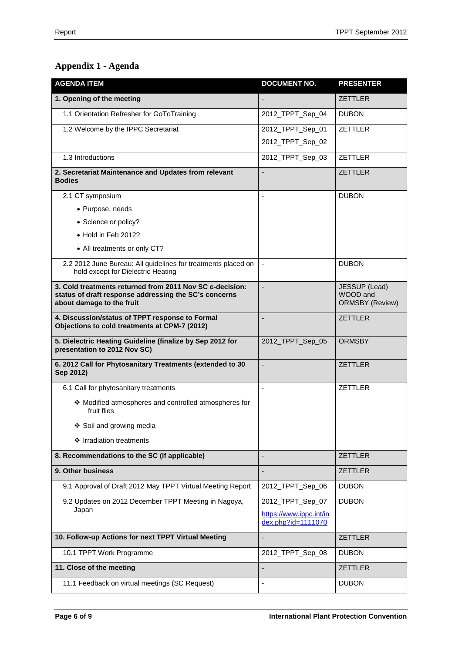# <span id="page-5-0"></span>**Appendix 1 - Agenda**

| <b>AGENDA ITEM</b>                                                                                                                             | <b>DOCUMENT NO.</b>                           | <b>PRESENTER</b>                                    |
|------------------------------------------------------------------------------------------------------------------------------------------------|-----------------------------------------------|-----------------------------------------------------|
| 1. Opening of the meeting                                                                                                                      |                                               | <b>ZETTLER</b>                                      |
| 1.1 Orientation Refresher for GoToTraining                                                                                                     | 2012_TPPT_Sep_04                              | <b>DUBON</b>                                        |
| 1.2 Welcome by the IPPC Secretariat                                                                                                            | 2012_TPPT_Sep_01                              | ZETTLER                                             |
|                                                                                                                                                | 2012_TPPT_Sep_02                              |                                                     |
| 1.3 Introductions                                                                                                                              | 2012_TPPT_Sep_03                              | ZETTLER                                             |
| 2. Secretariat Maintenance and Updates from relevant<br><b>Bodies</b>                                                                          | ÷,                                            | <b>ZETTLER</b>                                      |
| 2.1 CT symposium                                                                                                                               |                                               | <b>DUBON</b>                                        |
| • Purpose, needs                                                                                                                               |                                               |                                                     |
| • Science or policy?                                                                                                                           |                                               |                                                     |
| • Hold in Feb 2012?                                                                                                                            |                                               |                                                     |
| • All treatments or only CT?                                                                                                                   |                                               |                                                     |
| 2.2 2012 June Bureau: All guidelines for treatments placed on<br>hold except for Dielectric Heating                                            |                                               | <b>DUBON</b>                                        |
| 3. Cold treatments returned from 2011 Nov SC e-decision:<br>status of draft response addressing the SC's concerns<br>about damage to the fruit |                                               | JESSUP (Lead)<br>WOOD and<br><b>ORMSBY (Review)</b> |
| 4. Discussion/status of TPPT response to Formal<br>Objections to cold treatments at CPM-7 (2012)                                               |                                               | <b>ZETTLER</b>                                      |
| 5. Dielectric Heating Guideline (finalize by Sep 2012 for<br>presentation to 2012 Nov SC)                                                      | 2012_TPPT_Sep_05                              | <b>ORMSBY</b>                                       |
| 6. 2012 Call for Phytosanitary Treatments (extended to 30<br>Sep 2012)                                                                         |                                               | <b>ZETTLER</b>                                      |
| 6.1 Call for phytosanitary treatments                                                                                                          |                                               | <b>ZETTLER</b>                                      |
| ❖ Modified atmospheres and controlled atmospheres for<br>fruit flies                                                                           |                                               |                                                     |
| ❖ Soil and growing media                                                                                                                       |                                               |                                                     |
| ❖ Irradiation treatments                                                                                                                       |                                               |                                                     |
| 8. Recommendations to the SC (if applicable)                                                                                                   |                                               | <b>ZETTLER</b>                                      |
| 9. Other business                                                                                                                              |                                               | <b>ZETTLER</b>                                      |
| 9.1 Approval of Draft 2012 May TPPT Virtual Meeting Report                                                                                     | 2012_TPPT_Sep_06                              | <b>DUBON</b>                                        |
| 9.2 Updates on 2012 December TPPT Meeting in Nagoya,                                                                                           | 2012_TPPT_Sep_07                              | <b>DUBON</b>                                        |
| Japan                                                                                                                                          | https://www.ippc.int/in<br>dex.php?id=1111070 |                                                     |
| 10. Follow-up Actions for next TPPT Virtual Meeting                                                                                            |                                               | <b>ZETTLER</b>                                      |
| 10.1 TPPT Work Programme                                                                                                                       | 2012_TPPT_Sep_08                              | <b>DUBON</b>                                        |
| 11. Close of the meeting                                                                                                                       |                                               | <b>ZETTLER</b>                                      |
| 11.1 Feedback on virtual meetings (SC Request)                                                                                                 |                                               | <b>DUBON</b>                                        |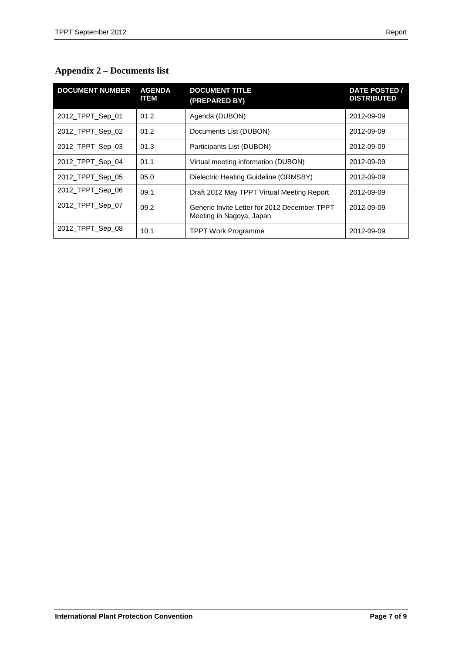<span id="page-6-0"></span>

| <b>Appendix 2 – Documents list</b> |  |
|------------------------------------|--|
|------------------------------------|--|

| <b>DOCUMENT NUMBER</b> | <b>AGENDA</b><br><b>ITEM</b> | <b>DOCUMENT TITLE</b><br>(PREPARED BY)                                   | <b>DATE POSTED /</b><br><b>DISTRIBUTED</b> |
|------------------------|------------------------------|--------------------------------------------------------------------------|--------------------------------------------|
| 2012_TPPT_Sep_01       | 01.2                         | Agenda (DUBON)                                                           | 2012-09-09                                 |
| 2012 TPPT Sep 02       | 01.2                         | Documents List (DUBON)                                                   | 2012-09-09                                 |
| 2012_TPPT_Sep_03       | 01.3                         | Participants List (DUBON)                                                | 2012-09-09                                 |
| 2012_TPPT_Sep_04       | 01.1                         | Virtual meeting information (DUBON)                                      | 2012-09-09                                 |
| 2012_TPPT_Sep_05       | 05.0                         | Dielectric Heating Guideline (ORMSBY)                                    | 2012-09-09                                 |
| 2012_TPPT_Sep_06       | 09.1                         | Draft 2012 May TPPT Virtual Meeting Report                               | 2012-09-09                                 |
| 2012_TPPT_Sep_07       | 09.2                         | Generic Invite Letter for 2012 December TPPT<br>Meeting in Nagoya, Japan | 2012-09-09                                 |
| 2012_TPPT_Sep_08       | 10.1                         | <b>TPPT Work Programme</b>                                               | 2012-09-09                                 |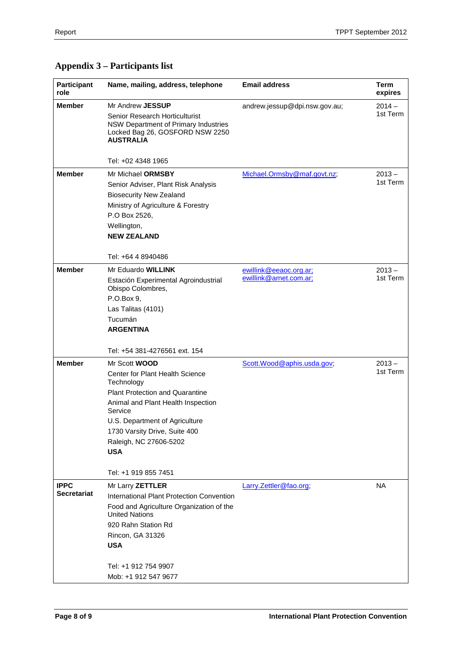| Participant<br>role | Name, mailing, address, telephone                                                                                             | <b>Email address</b>          | Term<br>expires |
|---------------------|-------------------------------------------------------------------------------------------------------------------------------|-------------------------------|-----------------|
| <b>Member</b>       | Mr Andrew <b>JESSUP</b>                                                                                                       | andrew.jessup@dpi.nsw.gov.au; | $2014 -$        |
|                     | Senior Research Horticulturist<br>NSW Department of Primary Industries<br>Locked Bag 26, GOSFORD NSW 2250<br><b>AUSTRALIA</b> |                               | 1st Term        |
|                     | Tel: +02 4348 1965                                                                                                            |                               |                 |
| <b>Member</b>       | Mr Michael ORMSBY                                                                                                             | Michael.Ormsby@maf.govt.nz;   | $2013 -$        |
|                     | Senior Adviser, Plant Risk Analysis                                                                                           |                               | 1st Term        |
|                     | <b>Biosecurity New Zealand</b>                                                                                                |                               |                 |
|                     | Ministry of Agriculture & Forestry                                                                                            |                               |                 |
|                     | P.O Box 2526,                                                                                                                 |                               |                 |
|                     | Wellington,                                                                                                                   |                               |                 |
|                     | <b>NEW ZEALAND</b>                                                                                                            |                               |                 |
|                     | Tel: +64 4 8940486                                                                                                            |                               |                 |
| <b>Member</b>       | Mr Eduardo WILLINK                                                                                                            | ewillink@eeaoc.org.ar;        | $2013 -$        |
|                     | Estación Experimental Agroindustrial<br>Obispo Colombres,                                                                     | ewillink@arnet.com.ar;        | 1st Term        |
|                     | P.O.Box 9,                                                                                                                    |                               |                 |
|                     | Las Talitas (4101)                                                                                                            |                               |                 |
|                     | Tucumán                                                                                                                       |                               |                 |
|                     | <b>ARGENTINA</b>                                                                                                              |                               |                 |
|                     | Tel: +54 381-4276561 ext. 154                                                                                                 |                               |                 |
| <b>Member</b>       | Mr Scott <b>WOOD</b>                                                                                                          | Scott.Wood@aphis.usda.gov;    | $2013 -$        |
|                     | Center for Plant Health Science<br>Technology                                                                                 |                               | 1st Term        |
|                     | <b>Plant Protection and Quarantine</b>                                                                                        |                               |                 |
|                     | Animal and Plant Health Inspection<br>Service                                                                                 |                               |                 |
|                     | U.S. Department of Agriculture                                                                                                |                               |                 |
|                     | 1730 Varsity Drive, Suite 400                                                                                                 |                               |                 |
|                     | Raleigh, NC 27606-5202                                                                                                        |                               |                 |
|                     | <b>USA</b>                                                                                                                    |                               |                 |
|                     | Tel: +1 919 855 7451                                                                                                          |                               |                 |
| <b>IPPC</b>         | Mr Larry ZETTLER                                                                                                              | Larry.Zettler@fao.org;        | <b>NA</b>       |
| <b>Secretariat</b>  | International Plant Protection Convention                                                                                     |                               |                 |
|                     | Food and Agriculture Organization of the<br><b>United Nations</b>                                                             |                               |                 |
|                     | 920 Rahn Station Rd                                                                                                           |                               |                 |
|                     | Rincon, GA 31326                                                                                                              |                               |                 |
|                     | <b>USA</b>                                                                                                                    |                               |                 |
|                     |                                                                                                                               |                               |                 |
|                     | Tel: +1 912 754 9907                                                                                                          |                               |                 |
|                     | Mob: +1 912 547 9677                                                                                                          |                               |                 |

# <span id="page-7-0"></span>**Appendix 3 – Participants list**